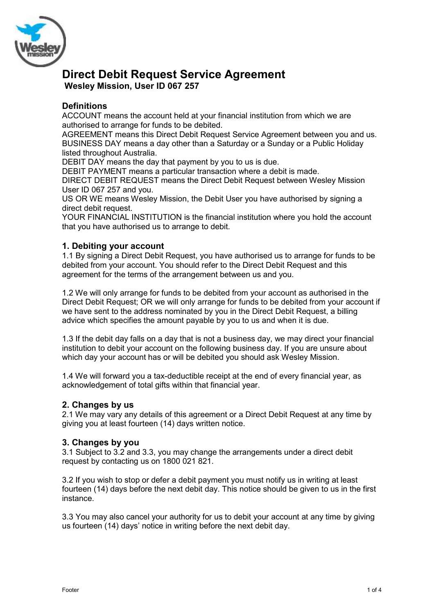

# **Direct Debit Request Service Agreement Wesley Mission, User ID 067 257**

# **Definitions**

ACCOUNT means the account held at your financial institution from which we are authorised to arrange for funds to be debited.

AGREEMENT means this Direct Debit Request Service Agreement between you and us. BUSINESS DAY means a day other than a Saturday or a Sunday or a Public Holiday listed throughout Australia.

DEBIT DAY means the day that payment by you to us is due.

DEBIT PAYMENT means a particular transaction where a debit is made.

DIRECT DEBIT REQUEST means the Direct Debit Request between Wesley Mission User ID 067 257 and you.

US OR WE means Wesley Mission, the Debit User you have authorised by signing a direct debit request.

YOUR FINANCIAL INSTITUTION is the financial institution where you hold the account that you have authorised us to arrange to debit.

#### **1. Debiting your account**

1.1 By signing a Direct Debit Request, you have authorised us to arrange for funds to be debited from your account. You should refer to the Direct Debit Request and this agreement for the terms of the arrangement between us and you.

1.2 We will only arrange for funds to be debited from your account as authorised in the Direct Debit Request; OR we will only arrange for funds to be debited from your account if we have sent to the address nominated by you in the Direct Debit Request, a billing advice which specifies the amount payable by you to us and when it is due.

1.3 If the debit day falls on a day that is not a business day, we may direct your financial institution to debit your account on the following business day. If you are unsure about which day your account has or will be debited you should ask Wesley Mission.

1.4 We will forward you a tax-deductible receipt at the end of every financial year, as acknowledgement of total gifts within that financial year.

#### **2. Changes by us**

2.1 We may vary any details of this agreement or a Direct Debit Request at any time by giving you at least fourteen (14) days written notice.

#### **3. Changes by you**

3.1 Subject to 3.2 and 3.3, you may change the arrangements under a direct debit request by contacting us on 1800 021 821.

3.2 If you wish to stop or defer a debit payment you must notify us in writing at least fourteen (14) days before the next debit day. This notice should be given to us in the first instance.

3.3 You may also cancel your authority for us to debit your account at any time by giving us fourteen (14) days' notice in writing before the next debit day.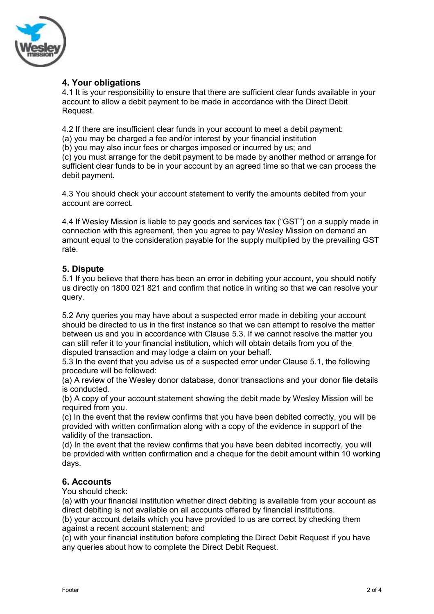

# **4. Your obligations**

4.1 It is your responsibility to ensure that there are sufficient clear funds available in your account to allow a debit payment to be made in accordance with the Direct Debit Request.

4.2 If there are insufficient clear funds in your account to meet a debit payment:

(a) you may be charged a fee and/or interest by your financial institution

(b) you may also incur fees or charges imposed or incurred by us; and

(c) you must arrange for the debit payment to be made by another method or arrange for sufficient clear funds to be in your account by an agreed time so that we can process the debit payment.

4.3 You should check your account statement to verify the amounts debited from your account are correct.

4.4 If Wesley Mission is liable to pay goods and services tax ("GST") on a supply made in connection with this agreement, then you agree to pay Wesley Mission on demand an amount equal to the consideration payable for the supply multiplied by the prevailing GST rate.

## **5. Dispute**

5.1 If you believe that there has been an error in debiting your account, you should notify us directly on 1800 021 821 and confirm that notice in writing so that we can resolve your query.

5.2 Any queries you may have about a suspected error made in debiting your account should be directed to us in the first instance so that we can attempt to resolve the matter between us and you in accordance with Clause 5.3. If we cannot resolve the matter you can still refer it to your financial institution, which will obtain details from you of the disputed transaction and may lodge a claim on your behalf.

5.3 In the event that you advise us of a suspected error under Clause 5.1, the following procedure will be followed:

(a) A review of the Wesley donor database, donor transactions and your donor file details is conducted.

(b) A copy of your account statement showing the debit made by Wesley Mission will be required from you.

(c) In the event that the review confirms that you have been debited correctly, you will be provided with written confirmation along with a copy of the evidence in support of the validity of the transaction.

(d) In the event that the review confirms that you have been debited incorrectly, you will be provided with written confirmation and a cheque for the debit amount within 10 working days.

## **6. Accounts**

You should check:

(a) with your financial institution whether direct debiting is available from your account as direct debiting is not available on all accounts offered by financial institutions.

(b) your account details which you have provided to us are correct by checking them against a recent account statement; and

(c) with your financial institution before completing the Direct Debit Request if you have any queries about how to complete the Direct Debit Request.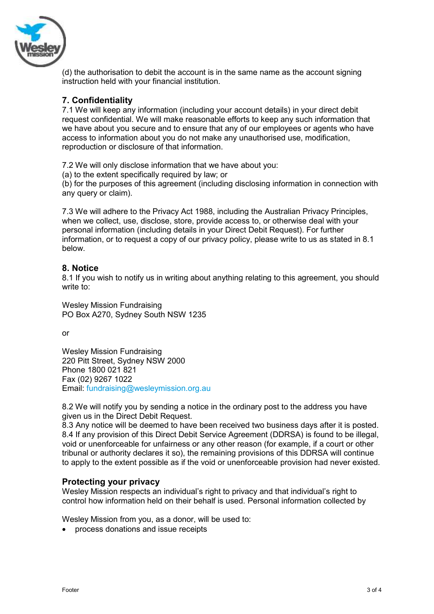

(d) the authorisation to debit the account is in the same name as the account signing instruction held with your financial institution.

## **7. Confidentiality**

7.1 We will keep any information (including your account details) in your direct debit request confidential. We will make reasonable efforts to keep any such information that we have about you secure and to ensure that any of our employees or agents who have access to information about you do not make any unauthorised use, modification, reproduction or disclosure of that information.

7.2 We will only disclose information that we have about you:

(a) to the extent specifically required by law; or

(b) for the purposes of this agreement (including disclosing information in connection with any query or claim).

7.3 We will adhere to the Privacy Act 1988, including the Australian Privacy Principles, when we collect, use, disclose, store, provide access to, or otherwise deal with your personal information (including details in your Direct Debit Request). For further information, or to request a copy of our privacy policy, please write to us as stated in 8.1 below.

#### **8. Notice**

8.1 If you wish to notify us in writing about anything relating to this agreement, you should write to:

Wesley Mission Fundraising PO Box A270, Sydney South NSW 1235

or

Wesley Mission Fundraising 220 Pitt Street, Sydney NSW 2000 Phone 1800 021 821 Fax (02) 9267 1022 Email: [fundraising@wesleymission.org.au](mailto:donorservices@wesleymission.org.au)

8.2 We will notify you by sending a notice in the ordinary post to the address you have given us in the Direct Debit Request.

8.3 Any notice will be deemed to have been received two business days after it is posted. 8.4 If any provision of this Direct Debit Service Agreement (DDRSA) is found to be illegal, void or unenforceable for unfairness or any other reason (for example, if a court or other tribunal or authority declares it so), the remaining provisions of this DDRSA will continue to apply to the extent possible as if the void or unenforceable provision had never existed.

## **Protecting your privacy**

Wesley Mission respects an individual's right to privacy and that individual's right to control how information held on their behalf is used. Personal information collected by

Wesley Mission from you, as a donor, will be used to:

process donations and issue receipts